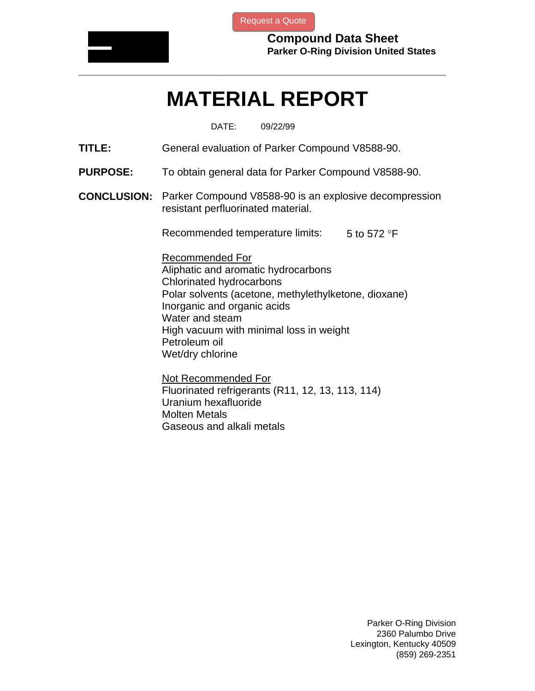

[Request a Quote](http://www.marcorubber.com/contact_quote.htm?material=Parker+V8588-90)

**Compound Data Sheet Parker O-Ring Division United States** 

## **MATERIAL REPORT**

**\_\_\_\_\_\_\_\_\_\_\_\_\_\_\_\_\_\_\_\_\_\_\_\_\_\_\_\_\_\_\_\_\_\_\_\_\_\_\_\_\_\_\_\_\_\_\_\_\_\_\_\_\_\_\_\_\_\_\_\_\_\_\_** 

DATE: 09/22/99

**TITLE:** General evaluation of Parker Compound V8588-90.

- **PURPOSE:** To obtain general data for Parker Compound V8588-90.
- **CONCLUSION:** Parker Compound V8588-90 is an explosive decompression resistant perfluorinated material.

Recommended temperature limits:  $5$  to 572 °F

Recommended For Aliphatic and aromatic hydrocarbons Chlorinated hydrocarbons Polar solvents (acetone, methylethylketone, dioxane) Inorganic and organic acids Water and steam High vacuum with minimal loss in weight Petroleum oil Wet/dry chlorine

Not Recommended For Fluorinated refrigerants (R11, 12, 13, 113, 114) Uranium hexafluoride Molten Metals Gaseous and alkali metals

> Parker O-Ring Division 2360 Palumbo Drive Lexington, Kentucky 40509 (859) 269-2351